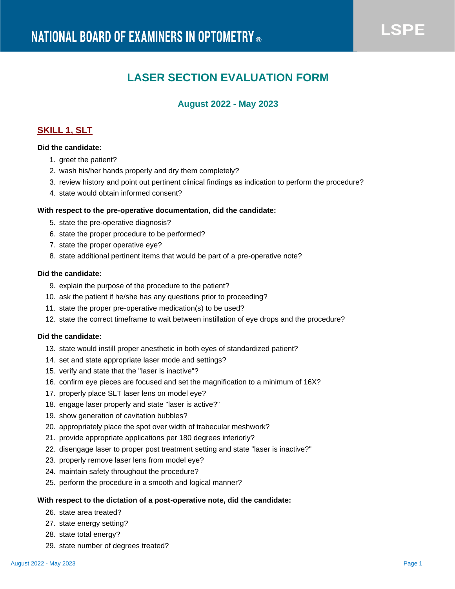# **LASER SECTION EVALUATION FORM**

# **August 2022 - May 2023**

# **SKILL 1, SLT**

### **Did the candidate:**

- 1. greet the patient?
- 2. wash his/her hands properly and dry them completely?
- 3. review history and point out pertinent clinical findings as indication to perform the procedure?
- 4. state would obtain informed consent?

#### **With respect to the pre-operative documentation, did the candidate:**

- 5. state the pre-operative diagnosis?
- 6. state the proper procedure to be performed?
- 7. state the proper operative eye?
- 8. state additional pertinent items that would be part of a pre-operative note?

### **Did the candidate:**

- 9. explain the purpose of the procedure to the patient?
- 10. ask the patient if he/she has any questions prior to proceeding?
- 11. state the proper pre-operative medication(s) to be used?
- 12. state the correct timeframe to wait between instillation of eye drops and the procedure?

### **Did the candidate:**

- 13. state would instill proper anesthetic in both eyes of standardized patient?
- 14. set and state appropriate laser mode and settings?
- 15. verify and state that the "laser is inactive"?
- 16. confirm eye pieces are focused and set the magnification to a minimum of 16X?
- 17. properly place SLT laser lens on model eye?
- 18. engage laser properly and state "laser is active?"
- 19. show generation of cavitation bubbles?
- 20. appropriately place the spot over width of trabecular meshwork?
- 21. provide appropriate applications per 180 degrees inferiorly?
- 22. disengage laser to proper post treatment setting and state "laser is inactive?"
- 23. properly remove laser lens from model eye?
- 24. maintain safety throughout the procedure?
- 25. perform the procedure in a smooth and logical manner?

#### **With respect to the dictation of a post-operative note, did the candidate:**

- 26. state area treated?
- 27. state energy setting?
- 28. state total energy?
- 29. state number of degrees treated?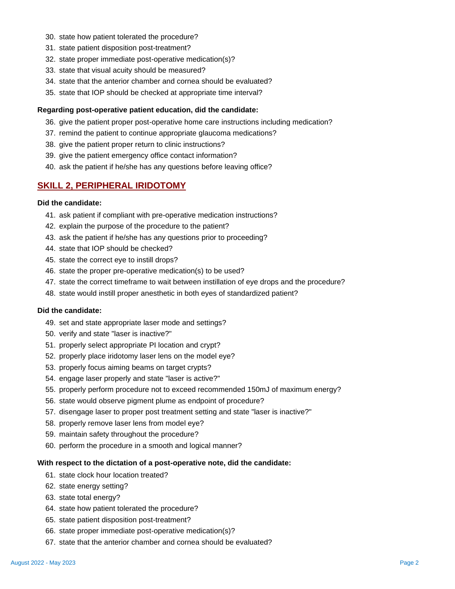- 30. state how patient tolerated the procedure?
- 31. state patient disposition post-treatment?
- 32. state proper immediate post-operative medication(s)?
- 33. state that visual acuity should be measured?
- 34. state that the anterior chamber and cornea should be evaluated?
- 35. state that IOP should be checked at appropriate time interval?

#### **Regarding post-operative patient education, did the candidate:**

- 36. give the patient proper post-operative home care instructions including medication?
- 37. remind the patient to continue appropriate glaucoma medications?
- 38. give the patient proper return to clinic instructions?
- 39. give the patient emergency office contact information?
- 40. ask the patient if he/she has any questions before leaving office?

## **SKILL 2, PERIPHERAL IRIDOTOMY**

#### **Did the candidate:**

- 41. ask patient if compliant with pre-operative medication instructions?
- 42. explain the purpose of the procedure to the patient?
- 43. ask the patient if he/she has any questions prior to proceeding?
- 44. state that IOP should be checked?
- 45. state the correct eye to instill drops?
- 46. state the proper pre-operative medication(s) to be used?
- 47. state the correct timeframe to wait between instillation of eye drops and the procedure?
- 48. state would instill proper anesthetic in both eyes of standardized patient?

#### **Did the candidate:**

- 49. set and state appropriate laser mode and settings?
- 50. verify and state "laser is inactive?"
- 51. properly select appropriate PI location and crypt?
- 52. properly place iridotomy laser lens on the model eye?
- 53. properly focus aiming beams on target crypts?
- 54. engage laser properly and state "laser is active?"
- 55. properly perform procedure not to exceed recommended 150mJ of maximum energy?
- 56. state would observe pigment plume as endpoint of procedure?
- 57. disengage laser to proper post treatment setting and state "laser is inactive?"
- 58. properly remove laser lens from model eye?
- 59. maintain safety throughout the procedure?
- 60. perform the procedure in a smooth and logical manner?

#### **With respect to the dictation of a post-operative note, did the candidate:**

- 61. state clock hour location treated?
- 62. state energy setting?
- 63. state total energy?
- 64. state how patient tolerated the procedure?
- 65. state patient disposition post-treatment?
- 66. state proper immediate post-operative medication(s)?
- 67. state that the anterior chamber and cornea should be evaluated?